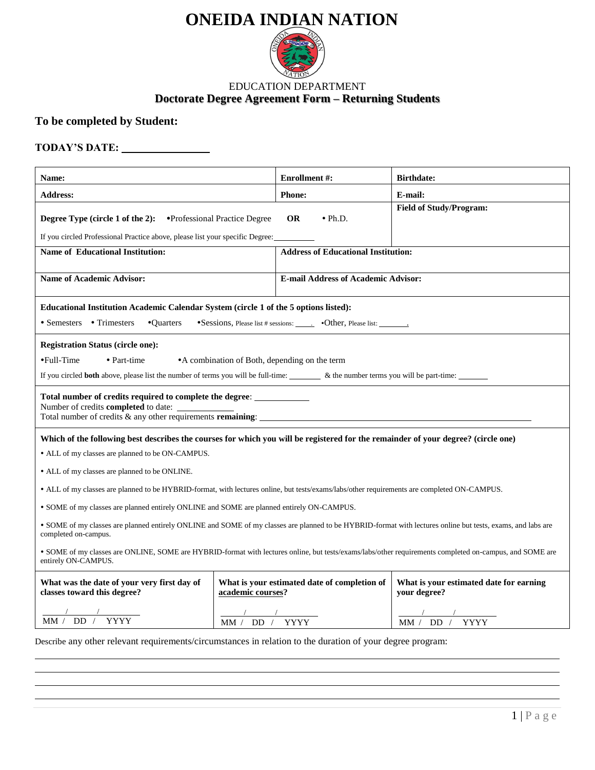# **ONEIDA INDIAN NATION**



### **Doctorate Degree Agreement Form – Returning Students** EDUCATION DEPARTMENT

# **To be completed by Student:**

## **TODAY'S DATE:**

| Name:                                                                                                                                                                                                                                                                                                                                                                                                                                                                                                                                                                                                                                             | <b>Enrollment #:</b>                                              |                                            | <b>Birthdate:</b>                                       |  |  |
|---------------------------------------------------------------------------------------------------------------------------------------------------------------------------------------------------------------------------------------------------------------------------------------------------------------------------------------------------------------------------------------------------------------------------------------------------------------------------------------------------------------------------------------------------------------------------------------------------------------------------------------------------|-------------------------------------------------------------------|--------------------------------------------|---------------------------------------------------------|--|--|
| <b>Address:</b>                                                                                                                                                                                                                                                                                                                                                                                                                                                                                                                                                                                                                                   | <b>Phone:</b>                                                     |                                            | E-mail:                                                 |  |  |
| <b>Degree Type (circle 1 of the 2):</b> • Professional Practice Degree<br>If you circled Professional Practice above, please list your specific Degree:                                                                                                                                                                                                                                                                                                                                                                                                                                                                                           | <b>OR</b>                                                         | $\bullet$ Ph.D.                            | <b>Field of Study/Program:</b>                          |  |  |
| <b>Name of Educational Institution:</b>                                                                                                                                                                                                                                                                                                                                                                                                                                                                                                                                                                                                           |                                                                   | <b>Address of Educational Institution:</b> |                                                         |  |  |
| <b>Name of Academic Advisor:</b>                                                                                                                                                                                                                                                                                                                                                                                                                                                                                                                                                                                                                  |                                                                   | <b>E-mail Address of Academic Advisor:</b> |                                                         |  |  |
| Educational Institution Academic Calendar System (circle 1 of the 5 options listed):<br>• Semesters • Trimesters<br>•Quarters                                                                                                                                                                                                                                                                                                                                                                                                                                                                                                                     |                                                                   |                                            |                                                         |  |  |
| <b>Registration Status (circle one):</b><br>•Full-Time<br>• Part-time<br>• A combination of Both, depending on the term<br>If you circled both above, please list the number of terms you will be full-time: _________ & the number terms you will be part-time:                                                                                                                                                                                                                                                                                                                                                                                  |                                                                   |                                            |                                                         |  |  |
| Total number of credits required to complete the degree:<br>Number of credits <b>completed</b> to date:<br>Total number of credits $\&$ any other requirements remaining:                                                                                                                                                                                                                                                                                                                                                                                                                                                                         |                                                                   |                                            |                                                         |  |  |
| Which of the following best describes the courses for which you will be registered for the remainder of your degree? (circle one)<br>• ALL of my classes are planned to be ON-CAMPUS.<br>• ALL of my classes are planned to be ONLINE.<br>• ALL of my classes are planned to be HYBRID-format, with lectures online, but tests/exams/labs/other requirements are completed ON-CAMPUS.<br>• SOME of my classes are planned entirely ONLINE and SOME are planned entirely ON-CAMPUS.<br>• SOME of my classes are planned entirely ONLINE and SOME of my classes are planned to be HYBRID-format with lectures online but tests, exams, and labs are |                                                                   |                                            |                                                         |  |  |
| completed on-campus.<br>• SOME of my classes are ONLINE, SOME are HYBRID-format with lectures online, but tests/exams/labs/other requirements completed on-campus, and SOME are<br>entirely ON-CAMPUS.                                                                                                                                                                                                                                                                                                                                                                                                                                            |                                                                   |                                            |                                                         |  |  |
| What was the date of your very first day of<br>classes toward this degree?                                                                                                                                                                                                                                                                                                                                                                                                                                                                                                                                                                        | What is your estimated date of completion of<br>academic courses? |                                            | What is your estimated date for earning<br>your degree? |  |  |
| MM / DD /<br><b>YYYY</b>                                                                                                                                                                                                                                                                                                                                                                                                                                                                                                                                                                                                                          | DD<br><b>YYYY</b><br>MM /                                         |                                            | DD.<br><b>YYYY</b><br>MM /                              |  |  |

Describe any other relevant requirements/circumstances in relation to the duration of your degree program: